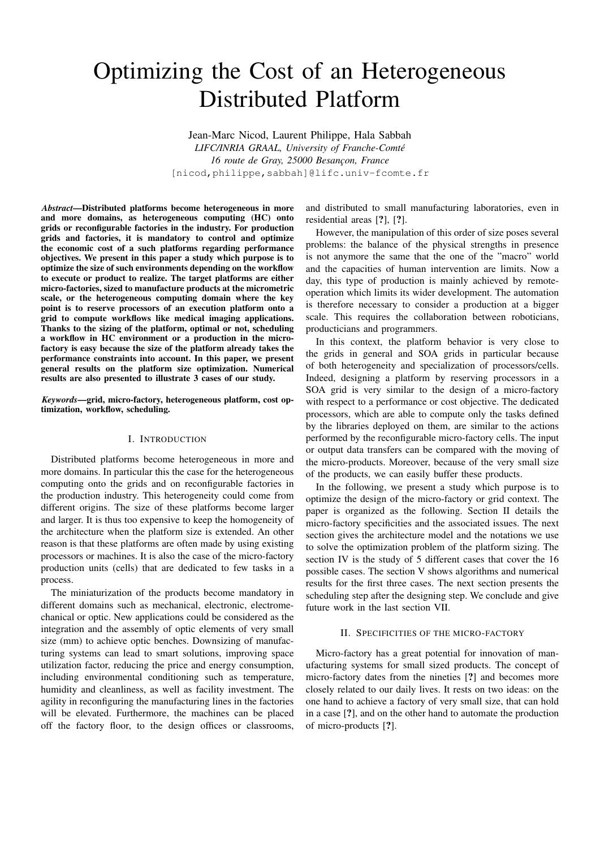# Optimizing the Cost of an Heterogeneous Distributed Platform

Jean-Marc Nicod, Laurent Philippe, Hala Sabbah *LIFC/INRIA GRAAL, University of Franche-Comte´* 16 route de Gray, 25000 Besançon, France [nicod,philippe,sabbah]@lifc.univ-fcomte.fr

*Abstract*—Distributed platforms become heterogeneous in more and more domains, as heterogeneous computing (HC) onto grids or reconfigurable factories in the industry. For production grids and factories, it is mandatory to control and optimize the economic cost of a such platforms regarding performance objectives. We present in this paper a study which purpose is to optimize the size of such environments depending on the workflow to execute or product to realize. The target platforms are either micro-factories, sized to manufacture products at the micrometric scale, or the heterogeneous computing domain where the key point is to reserve processors of an execution platform onto a grid to compute workflows like medical imaging applications. Thanks to the sizing of the platform, optimal or not, scheduling a workflow in HC environment or a production in the microfactory is easy because the size of the platform already takes the performance constraints into account. In this paper, we present general results on the platform size optimization. Numerical results are also presented to illustrate 3 cases of our study.

*Keywords*—grid, micro-factory, heterogeneous platform, cost optimization, workflow, scheduling.

#### I. INTRODUCTION

Distributed platforms become heterogeneous in more and more domains. In particular this the case for the heterogeneous computing onto the grids and on reconfigurable factories in the production industry. This heterogeneity could come from different origins. The size of these platforms become larger and larger. It is thus too expensive to keep the homogeneity of the architecture when the platform size is extended. An other reason is that these platforms are often made by using existing processors or machines. It is also the case of the micro-factory production units (cells) that are dedicated to few tasks in a process.

The miniaturization of the products become mandatory in different domains such as mechanical, electronic, electromechanical or optic. New applications could be considered as the integration and the assembly of optic elements of very small size (mm) to achieve optic benches. Downsizing of manufacturing systems can lead to smart solutions, improving space utilization factor, reducing the price and energy consumption, including environmental conditioning such as temperature, humidity and cleanliness, as well as facility investment. The agility in reconfiguring the manufacturing lines in the factories will be elevated. Furthermore, the machines can be placed off the factory floor, to the design offices or classrooms,

and distributed to small manufacturing laboratories, even in residential areas [?], [?].

However, the manipulation of this order of size poses several problems: the balance of the physical strengths in presence is not anymore the same that the one of the "macro" world and the capacities of human intervention are limits. Now a day, this type of production is mainly achieved by remoteoperation which limits its wider development. The automation is therefore necessary to consider a production at a bigger scale. This requires the collaboration between roboticians, producticians and programmers.

In this context, the platform behavior is very close to the grids in general and SOA grids in particular because of both heterogeneity and specialization of processors/cells. Indeed, designing a platform by reserving processors in a SOA grid is very similar to the design of a micro-factory with respect to a performance or cost objective. The dedicated processors, which are able to compute only the tasks defined by the libraries deployed on them, are similar to the actions performed by the reconfigurable micro-factory cells. The input or output data transfers can be compared with the moving of the micro-products. Moreover, because of the very small size of the products, we can easily buffer these products.

In the following, we present a study which purpose is to optimize the design of the micro-factory or grid context. The paper is organized as the following. Section II details the micro-factory specificities and the associated issues. The next section gives the architecture model and the notations we use to solve the optimization problem of the platform sizing. The section IV is the study of 5 different cases that cover the 16 possible cases. The section V shows algorithms and numerical results for the first three cases. The next section presents the scheduling step after the designing step. We conclude and give future work in the last section VII.

#### II. SPECIFICITIES OF THE MICRO-FACTORY

Micro-factory has a great potential for innovation of manufacturing systems for small sized products. The concept of micro-factory dates from the nineties [?] and becomes more closely related to our daily lives. It rests on two ideas: on the one hand to achieve a factory of very small size, that can hold in a case [?], and on the other hand to automate the production of micro-products [?].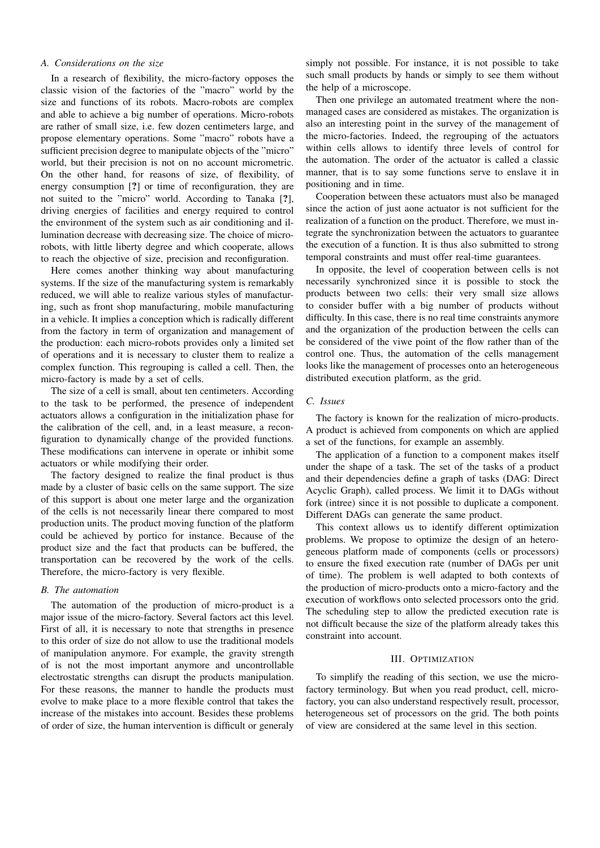## *A. Considerations on the size*

In a research of flexibility, the micro-factory opposes the classic vision of the factories of the "macro" world by the size and functions of its robots. Macro-robots are complex and able to achieve a big number of operations. Micro-robots are rather of small size, i.e. few dozen centimeters large, and propose elementary operations. Some "macro" robots have a sufficient precision degree to manipulate objects of the "micro" world, but their precision is not on no account micrometric. On the other hand, for reasons of size, of flexibility, of energy consumption [?] or time of reconfiguration, they are not suited to the "micro" world. According to Tanaka [?], driving energies of facilities and energy required to control the environment of the system such as air conditioning and illumination decrease with decreasing size. The choice of microrobots, with little liberty degree and which cooperate, allows to reach the objective of size, precision and reconfiguration.

Here comes another thinking way about manufacturing systems. If the size of the manufacturing system is remarkably reduced, we will able to realize various styles of manufacturing, such as front shop manufacturing, mobile manufacturing in a vehicle. It implies a conception which is radically different from the factory in term of organization and management of the production: each micro-robots provides only a limited set of operations and it is necessary to cluster them to realize a complex function. This regrouping is called a cell. Then, the micro-factory is made by a set of cells.

The size of a cell is small, about ten centimeters. According to the task to be performed, the presence of independent actuators allows a configuration in the initialization phase for the calibration of the cell, and, in a least measure, a reconfiguration to dynamically change of the provided functions. These modifications can intervene in operate or inhibit some actuators or while modifying their order.

The factory designed to realize the final product is thus made by a cluster of basic cells on the same support. The size of this support is about one meter large and the organization of the cells is not necessarily linear there compared to most production units. The product moving function of the platform could be achieved by portico for instance. Because of the product size and the fact that products can be buffered, the transportation can be recovered by the work of the cells. Therefore, the micro-factory is very flexible.

#### *B. The automation*

The automation of the production of micro-product is a major issue of the micro-factory. Several factors act this level. First of all, it is necessary to note that strengths in presence to this order of size do not allow to use the traditional models of manipulation anymore. For example, the gravity strength of is not the most important anymore and uncontrollable electrostatic strengths can disrupt the products manipulation. For these reasons, the manner to handle the products must evolve to make place to a more flexible control that takes the increase of the mistakes into account. Besides these problems of order of size, the human intervention is difficult or generaly

simply not possible. For instance, it is not possible to take such small products by hands or simply to see them without the help of a microscope.

Then one privilege an automated treatment where the nonmanaged cases are considered as mistakes. The organization is also an interesting point in the survey of the management of the micro-factories. Indeed, the regrouping of the actuators within cells allows to identify three levels of control for the automation. The order of the actuator is called a classic manner, that is to say some functions serve to enslave it in positioning and in time.

Cooperation between these actuators must also be managed since the action of just aone actuator is not sufficient for the realization of a function on the product. Therefore, we must integrate the synchronization between the actuators to guarantee the execution of a function. It is thus also submitted to strong temporal constraints and must offer real-time guarantees.

In opposite, the level of cooperation between cells is not necessarily synchronized since it is possible to stock the products between two cells: their very small size allows to consider buffer with a big number of products without difficulty. In this case, there is no real time constraints anymore and the organization of the production between the cells can be considered of the viwe point of the flow rather than of the control one. Thus, the automation of the cells management looks like the management of processes onto an heterogeneous distributed execution platform, as the grid.

## *C. Issues*

The factory is known for the realization of micro-products. A product is achieved from components on which are applied a set of the functions, for example an assembly.

The application of a function to a component makes itself under the shape of a task. The set of the tasks of a product and their dependencies define a graph of tasks (DAG: Direct Acyclic Graph), called process. We limit it to DAGs without fork (intree) since it is not possible to duplicate a component. Different DAGs can generate the same product.

This context allows us to identify different optimization problems. We propose to optimize the design of an heterogeneous platform made of components (cells or processors) to ensure the fixed execution rate (number of DAGs per unit of time). The problem is well adapted to both contexts of the production of micro-products onto a micro-factory and the execution of workflows onto selected processors onto the grid. The scheduling step to allow the predicted execution rate is not difficult because the size of the platform already takes this constraint into account.

#### III. OPTIMIZATION

To simplify the reading of this section, we use the microfactory terminology. But when you read product, cell, microfactory, you can also understand respectively result, processor, heterogeneous set of processors on the grid. The both points of view are considered at the same level in this section.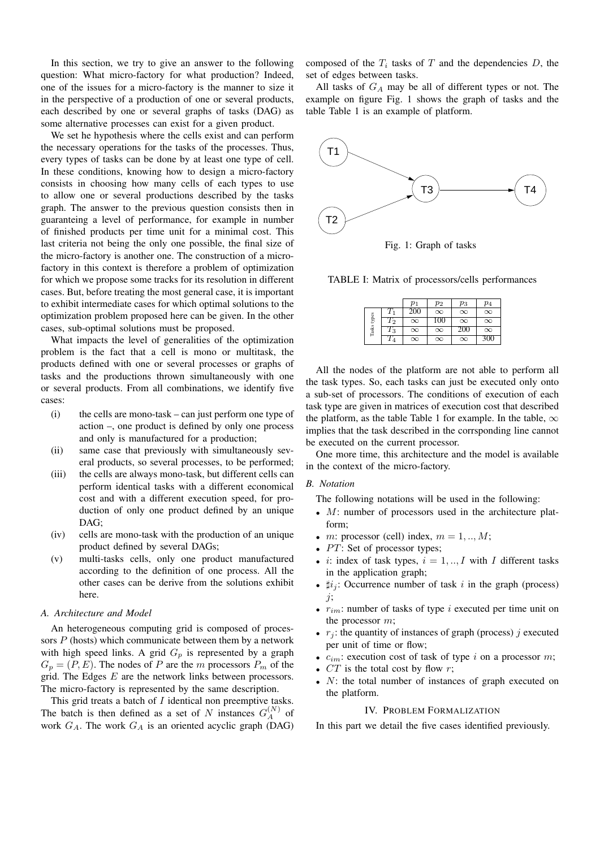In this section, we try to give an answer to the following question: What micro-factory for what production? Indeed, one of the issues for a micro-factory is the manner to size it in the perspective of a production of one or several products, each described by one or several graphs of tasks (DAG) as some alternative processes can exist for a given product.

We set he hypothesis where the cells exist and can perform the necessary operations for the tasks of the processes. Thus, every types of tasks can be done by at least one type of cell. In these conditions, knowing how to design a micro-factory consists in choosing how many cells of each types to use to allow one or several productions described by the tasks graph. The answer to the previous question consists then in guaranteing a level of performance, for example in number of finished products per time unit for a minimal cost. This last criteria not being the only one possible, the final size of the micro-factory is another one. The construction of a microfactory in this context is therefore a problem of optimization for which we propose some tracks for its resolution in different cases. But, before treating the most general case, it is important to exhibit intermediate cases for which optimal solutions to the optimization problem proposed here can be given. In the other cases, sub-optimal solutions must be proposed.

What impacts the level of generalities of the optimization problem is the fact that a cell is mono or multitask, the products defined with one or several processes or graphs of tasks and the productions thrown simultaneously with one or several products. From all combinations, we identify five cases:

- (i) the cells are mono-task can just perform one type of action –, one product is defined by only one process and only is manufactured for a production;
- (ii) same case that previously with simultaneously several products, so several processes, to be performed;
- (iii) the cells are always mono-task, but different cells can perform identical tasks with a different economical cost and with a different execution speed, for production of only one product defined by an unique DAG;
- (iv) cells are mono-task with the production of an unique product defined by several DAGs;
- (v) multi-tasks cells, only one product manufactured according to the definition of one process. All the other cases can be derive from the solutions exhibit here.

#### *A. Architecture and Model*

An heterogeneous computing grid is composed of processors  $P$  (hosts) which communicate between them by a network with high speed links. A grid  $G_p$  is represented by a graph  $G_p = (P, E)$ . The nodes of P are the m processors  $P_m$  of the grid. The Edges  $E$  are the network links between processors. The micro-factory is represented by the same description.

This grid treats a batch of I identical non preemptive tasks. The batch is then defined as a set of N instances  $G_A^{(N)}$  of work  $G_A$ . The work  $G_A$  is an oriented acyclic graph (DAG)

composed of the  $T_i$  tasks of  $T$  and the dependencies  $D$ , the set of edges between tasks.

All tasks of  $G_A$  may be all of different types or not. The example on figure Fig. 1 shows the graph of tasks and the table Table 1 is an example of platform.



Fig. 1: Graph of tasks

TABLE I: Matrix of processors/cells performances

|             |                    | $p_1$    | $p_2$    | $p_3$    | p <sub>4</sub> |
|-------------|--------------------|----------|----------|----------|----------------|
|             |                    | 200      | $\infty$ | $\infty$ | $\infty$       |
|             | $\scriptstyle T_2$ | $\infty$ | 100      | $\infty$ | $\infty$       |
| Tasks types | $\mathit{T}_3$     | $\infty$ | $\infty$ | 200      | $\infty$       |
|             | $\mathfrak{1}_4$   | $\infty$ | $\infty$ | $\infty$ | 300            |

All the nodes of the platform are not able to perform all the task types. So, each tasks can just be executed only onto a sub-set of processors. The conditions of execution of each task type are given in matrices of execution cost that described the platform, as the table Table 1 for example. In the table,  $\infty$ implies that the task described in the corrsponding line cannot be executed on the current processor.

One more time, this architecture and the model is available in the context of the micro-factory.

#### *B. Notation*

The following notations will be used in the following:

- M: number of processors used in the architecture platform;
- m: processor (cell) index,  $m = 1, \dots, M$ ;
- $PT$ : Set of processor types;
- *i*: index of task types,  $i = 1, \dots, I$  with *I* different tasks in the application graph;
- $\sharp i_j$ : Occurrence number of task i in the graph (process) j;
- $r_{im}$ : number of tasks of type i executed per time unit on the processor m;
- $r_i$ : the quantity of instances of graph (process) j executed per unit of time or flow;
- $c_{im}$ : execution cost of task of type i on a processor m;
- $CT$  is the total cost by flow  $r$ ;
- $N$ : the total number of instances of graph executed on the platform.

#### IV. PROBLEM FORMALIZATION

In this part we detail the five cases identified previously.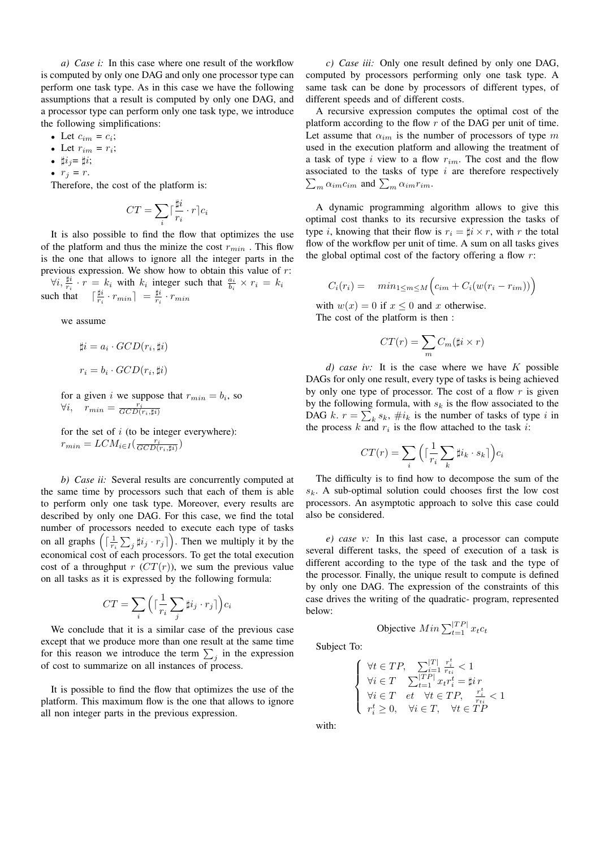*a) Case i:* In this case where one result of the workflow is computed by only one DAG and only one processor type can perform one task type. As in this case we have the following assumptions that a result is computed by only one DAG, and a processor type can perform only one task type, we introduce the following simplifications:

- Let  $c_{im} = c_i$ ;
- Let  $r_{im} = r_i$ ;
- $\sharp i_j = \sharp i;$
- $r_i = r$ .

Therefore, the cost of the platform is:

$$
CT = \sum_{i} \lceil \frac{\sharp i}{r_i} \cdot r \rceil c_i
$$

It is also possible to find the flow that optimizes the use of the platform and thus the minize the cost  $r_{min}$ . This flow is the one that allows to ignore all the integer parts in the previous expression. We show how to obtain this value of  $r$ :  $\forall i, \frac{\sharp i}{r_i} \cdot r = k_i$  with  $k_i$  integer such that  $\frac{a_i}{b_i} \times r_i = k_i$ 

such that  $\left[\frac{\sharp i}{r_i} \cdot r_{min}\right] = \frac{\sharp i}{r_i} \cdot r_{min}$ 

we assume

$$
\sharp i = a_i \cdot GCD(r_i, \sharp i)
$$

$$
r_i = b_i \cdot GCD(r_i, \sharp i)
$$

for a given i we suppose that  $r_{min} = b_i$ , so  $\forall i, \quad r_{min} = \frac{r_i}{GCD(r_i, \sharp i)}$ 

for the set of  $i$  (to be integer everywhere):  $r_{min} = LCM_{i \in I}(\frac{r_i}{GCD(r_i, \sharp i)})$ 

*b) Case ii:* Several results are concurrently computed at the same time by processors such that each of them is able to perform only one task type. Moreover, every results are described by only one DAG. For this case, we find the total number of processors needed to execute each type of tasks on all graphs  $\left( \left\lceil \frac{1}{r_i} \sum_j \sharp i_j \cdot r_j \right\rceil \right)$ . Then we multiply it by the economical cost of each processors. To get the total execution cost of a throughput  $r$  ( $CT(r)$ ), we sum the previous value on all tasks as it is expressed by the following formula:

$$
CT = \sum_i \Big( \lceil \frac{1}{r_i} \sum_j \sharp i_j \cdot r_j \rceil \Big) c_i
$$

We conclude that it is a similar case of the previous case except that we produce more than one result at the same time for this reason we introduce the term  $\sum_j$  in the expression of cost to summarize on all instances of process.

It is possible to find the flow that optimizes the use of the platform. This maximum flow is the one that allows to ignore all non integer parts in the previous expression.

*c) Case iii:* Only one result defined by only one DAG, computed by processors performing only one task type. A same task can be done by processors of different types, of different speeds and of different costs.

A recursive expression computes the optimal cost of the platform according to the flow  $r$  of the DAG per unit of time. Let assume that  $\alpha_{im}$  is the number of processors of type m used in the execution platform and allowing the treatment of a task of type  $i$  view to a flow  $r_{im}$ . The cost and the flow associated to the tasks of type  $i$  are therefore respectively  $\sum_{m} \alpha_{im} c_{im}$  and  $\sum_{m} \alpha_{im} r_{im}$ .

A dynamic programming algorithm allows to give this optimal cost thanks to its recursive expression the tasks of type *i*, knowing that their flow is  $r_i = \sharp i \times r$ , with *r* the total flow of the workflow per unit of time. A sum on all tasks gives the global optimal cost of the factory offering a flow  $r$ :

$$
C_i(r_i) = \min_{1 \le m \le M} \Big( c_{im} + C_i (w(r_i - r_{im})) \Big)
$$

with  $w(x) = 0$  if  $x \le 0$  and x otherwise. The cost of the platform is then :

$$
CT(r) = \sum_{m} C_{m}(\sharp i \times r)
$$

*d) case iv:* It is the case where we have K possible DAGs for only one result, every type of tasks is being achieved by only one type of processor. The cost of a flow  $r$  is given by the following formula, with  $s_k$  is the flow associated to the DAG k.  $r = \sum_{k} s_k$ ,  $\# i_k$  is the number of tasks of type i in the process  $k$  and  $r_i$  is the flow attached to the task  $i$ :

$$
CT(r) = \sum_i \Big( \lceil \frac{1}{r_i} \sum_k \sharp i_k \cdot s_k \rceil \Big) c_i
$$

The difficulty is to find how to decompose the sum of the  $s_k$ . A sub-optimal solution could chooses first the low cost processors. An asymptotic approach to solve this case could also be considered.

*e) case v:* In this last case, a processor can compute several different tasks, the speed of execution of a task is different according to the type of the task and the type of the processor. Finally, the unique result to compute is defined by only one DAG. The expression of the constraints of this case drives the writing of the quadratic- program, represented below:

$$
Objective \ Min \sum_{t=1}^{|TP|} x_t c_t
$$

Subject To:

$$
\left\{ \begin{array}{ll} \forall t\in TP, \quad \sum_{i=1}^{|T|}\frac{r_i^t}{r_{ti}}<1 \\ \forall i\in T \quad \sum_{l=1}^{|TP|}x_tr_i^t=\sharp ir \\ \forall i\in T \quad et \quad \forall t\in TP, \quad \frac{r_i^t}{r_{ti}}<1 \\ r_i^t\geq 0, \quad \forall i\in T, \quad \forall t\in TP \end{array} \right.
$$

with: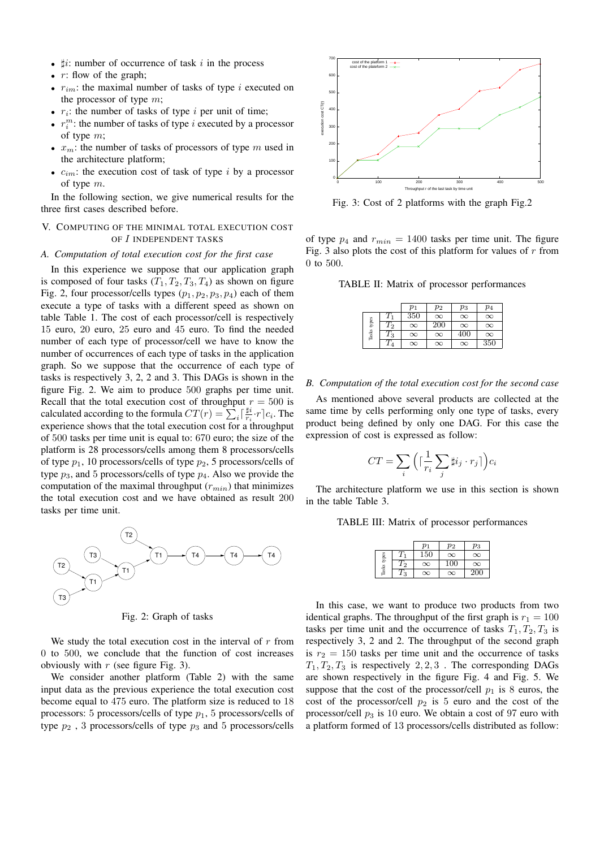- $\sharp i$ : number of occurrence of task i in the process
- $r:$  flow of the graph;
- $r_{im}$ : the maximal number of tasks of type i executed on the processor of type  $m$ ;
- $r_i$ : the number of tasks of type i per unit of time;
- $r_i^m$ : the number of tasks of type i executed by a processor of type m;
- $x_m$ : the number of tasks of processors of type m used in the architecture platform;
- $c_{im}$ : the execution cost of task of type i by a processor of type m.

In the following section, we give numerical results for the three first cases described before.

## V. COMPUTING OF THE MINIMAL TOTAL EXECUTION COST OF I INDEPENDENT TASKS

#### *A. Computation of total execution cost for the first case*

In this experience we suppose that our application graph is composed of four tasks  $(T_1, T_2, T_3, T_4)$  as shown on figure Fig. 2, four processor/cells types  $(p_1, p_2, p_3, p_4)$  each of them execute a type of tasks with a different speed as shown on table Table 1. The cost of each processor/cell is respectively 15 euro, 20 euro, 25 euro and 45 euro. To find the needed number of each type of processor/cell we have to know the number of occurrences of each type of tasks in the application graph. So we suppose that the occurrence of each type of tasks is respectively 3, 2, 2 and 3. This DAGs is shown in the figure Fig. 2. We aim to produce 500 graphs per time unit. Recall that the total execution cost of throughput  $r = 500$  is calculated according to the formula  $CT(r) = \sum_{i} \left[\frac{\sharp i}{r_i} \cdot r\right] c_i$ . The experience shows that the total execution cost for a throughput of 500 tasks per time unit is equal to: 670 euro; the size of the platform is 28 processors/cells among them 8 processors/cells of type  $p_1$ , 10 processors/cells of type  $p_2$ , 5 processors/cells of type  $p_3$ , and 5 processors/cells of type  $p_4$ . Also we provide the computation of the maximal throughput  $(r_{min})$  that minimizes the total execution cost and we have obtained as result 200 tasks per time unit.



Fig. 2: Graph of tasks

We study the total execution cost in the interval of  $r$  from 0 to 500, we conclude that the function of cost increases obviously with  $r$  (see figure Fig. 3).

We consider another platform (Table 2) with the same input data as the previous experience the total execution cost become equal to 475 euro. The platform size is reduced to 18 processors: 5 processors/cells of type  $p_1$ , 5 processors/cells of type  $p_2$ , 3 processors/cells of type  $p_3$  and 5 processors/cells



Fig. 3: Cost of 2 platforms with the graph Fig.2

of type  $p_4$  and  $r_{min} = 1400$  tasks per time unit. The figure Fig. 3 also plots the cost of this platform for values of  $r$  from 0 to 500.

TABLE II: Matrix of processor performances

|             |     | $p_1$    | $p_2$    | $p_3$    | $_{p_4}$ |
|-------------|-----|----------|----------|----------|----------|
|             |     | 350      | $\infty$ | $\infty$ | $\infty$ |
| Tasks types | L'2 | $\infty$ | 200      | $\infty$ | $\infty$ |
|             | ľз  | $\infty$ | $\infty$ | 400      | $\infty$ |
|             |     | $\infty$ | $\infty$ | $\infty$ | 350      |

#### *B. Computation of the total execution cost for the second case*

As mentioned above several products are collected at the same time by cells performing only one type of tasks, every product being defined by only one DAG. For this case the expression of cost is expressed as follow:

$$
CT = \sum_{i} \Big( \lceil \frac{1}{r_i} \sum_{j} \sharp i_j \cdot r_j \rceil \Big) c_i
$$

The architecture platform we use in this section is shown in the table Table 3.

TABLE III: Matrix of processor performances

|      |    | $p_1$    | $p_2$    | $p_3$    |
|------|----|----------|----------|----------|
| ğ    |    | 150      | $\infty$ | $\infty$ |
|      | ഥാ | $\infty$ | 100      | $\infty$ |
| asks |    | $\infty$ | $\infty$ | 200      |

In this case, we want to produce two products from two identical graphs. The throughput of the first graph is  $r_1 = 100$ tasks per time unit and the occurrence of tasks  $T_1, T_2, T_3$  is respectively 3, 2 and 2. The throughput of the second graph is  $r_2 = 150$  tasks per time unit and the occurrence of tasks  $T_1, T_2, T_3$  is respectively 2, 2, 3. The corresponding DAGs are shown respectively in the figure Fig. 4 and Fig. 5. We suppose that the cost of the processor/cell  $p_1$  is 8 euros, the cost of the processor/cell  $p_2$  is 5 euro and the cost of the processor/cell  $p_3$  is 10 euro. We obtain a cost of 97 euro with a platform formed of 13 processors/cells distributed as follow: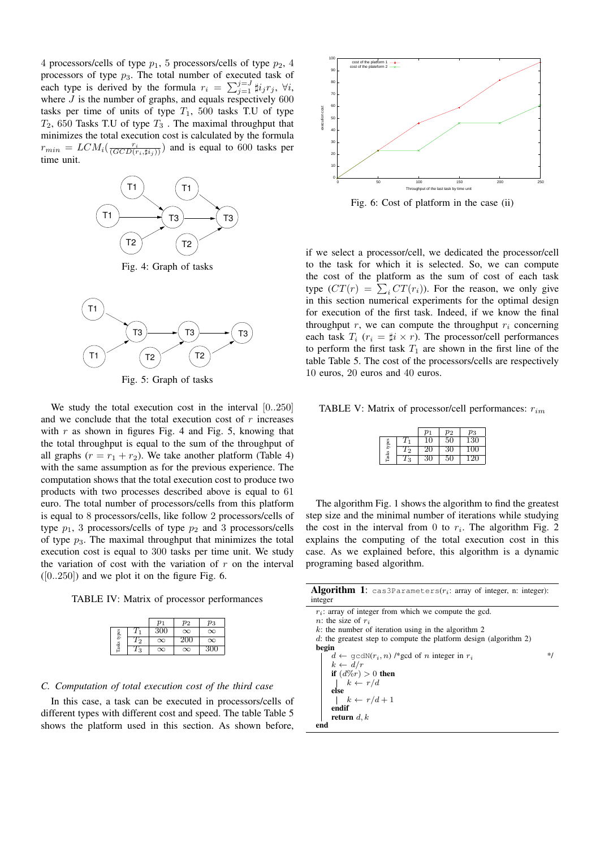4 processors/cells of type  $p_1$ , 5 processors/cells of type  $p_2$ , 4 processors of type  $p_3$ . The total number of executed task of each type is derived by the formula  $r_i = \sum_{j=1}^{j=J} \sharp i_j r_j$ ,  $\forall i$ , where  $J$  is the number of graphs, and equals respectively  $600$ tasks per time of units of type  $T_1$ , 500 tasks T.U of type  $T_2$ , 650 Tasks T.U of type  $T_3$ . The maximal throughput that minimizes the total execution cost is calculated by the formula  $r_{min} = LCM_i(\frac{r_i}{(GCD(r_i, \sharp i_j))})$  and is equal to 600 tasks per time unit.



Fig. 4: Graph of tasks



Fig. 5: Graph of tasks

We study the total execution cost in the interval [0..250] and we conclude that the total execution cost of  $r$  increases with  $r$  as shown in figures Fig. 4 and Fig. 5, knowing that the total throughput is equal to the sum of the throughput of all graphs  $(r = r_1 + r_2)$ . We take another platform (Table 4) with the same assumption as for the previous experience. The computation shows that the total execution cost to produce two products with two processes described above is equal to 61 euro. The total number of processors/cells from this platform is equal to 8 processors/cells, like follow 2 processors/cells of type  $p_1$ , 3 processors/cells of type  $p_2$  and 3 processors/cells of type  $p_3$ . The maximal throughput that minimizes the total execution cost is equal to 300 tasks per time unit. We study the variation of cost with the variation of  $r$  on the interval  $([0..250])$  and we plot it on the figure Fig. 6.

TABLE IV: Matrix of processor performances

|             |    | $p_1$    | $p_2$    | $p_3$    |
|-------------|----|----------|----------|----------|
|             |    | 300      | $\infty$ | $\infty$ |
| Tasks types | 12 | $\infty$ | 200      | $\infty$ |
|             | 3  | $\infty$ | $\infty$ | 300      |

#### *C. Computation of total execution cost of the third case*

In this case, a task can be executed in processors/cells of different types with different cost and speed. The table Table 5 shows the platform used in this section. As shown before,



Fig. 6: Cost of platform in the case (ii)

if we select a processor/cell, we dedicated the processor/cell to the task for which it is selected. So, we can compute the cost of the platform as the sum of cost of each task type  $(CT(r) = \sum_i CT(r_i))$ . For the reason, we only give in this section numerical experiments for the optimal design for execution of the first task. Indeed, if we know the final throughput r, we can compute the throughput  $r_i$  concerning each task  $T_i$  ( $r_i = \sharp i \times r$ ). The processor/cell performances to perform the first task  $T_1$  are shown in the first line of the table Table 5. The cost of the processors/cells are respectively 10 euros, 20 euros and 40 euros.

TABLE V: Matrix of processor/cell performances:  $r_{im}$ 

|       |    | $p_1$ | $p_2$ | $p_3$ |
|-------|----|-------|-------|-------|
| types |    | 10    | 50    | 130   |
|       | 12 | 20    | 30    | 100   |
| Tasks | ٠  | 30    | 50    | 120   |

The algorithm Fig. 1 shows the algorithm to find the greatest step size and the minimal number of iterations while studying the cost in the interval from 0 to  $r_i$ . The algorithm Fig. 2 explains the computing of the total execution cost in this case. As we explained before, this algorithm is a dynamic programing based algorithm.

| <b>Algorithm 1:</b> cas3Parameters( $r_i$ : array of integer, n: integer):<br>integer |    |
|---------------------------------------------------------------------------------------|----|
| $r_i$ : array of integer from which we compute the gcd.                               |    |
| <i>n</i> : the size of $r_i$                                                          |    |
| $k$ : the number of iteration using in the algorithm 2                                |    |
| $d$ : the greatest step to compute the platform design (algorithm 2)                  |    |
| begin                                                                                 |    |
| $d \leftarrow \text{gcdN}(r_i, n)$ /*gcd of <i>n</i> integer in $r_i$                 | */ |
| $k \leftarrow d/r$                                                                    |    |
| if $(d\%r) > 0$ then                                                                  |    |
| $k \leftarrow r/d$                                                                    |    |
| else                                                                                  |    |
| $k \leftarrow r/d+1$                                                                  |    |
| endif                                                                                 |    |
| return $d, k$                                                                         |    |
| end                                                                                   |    |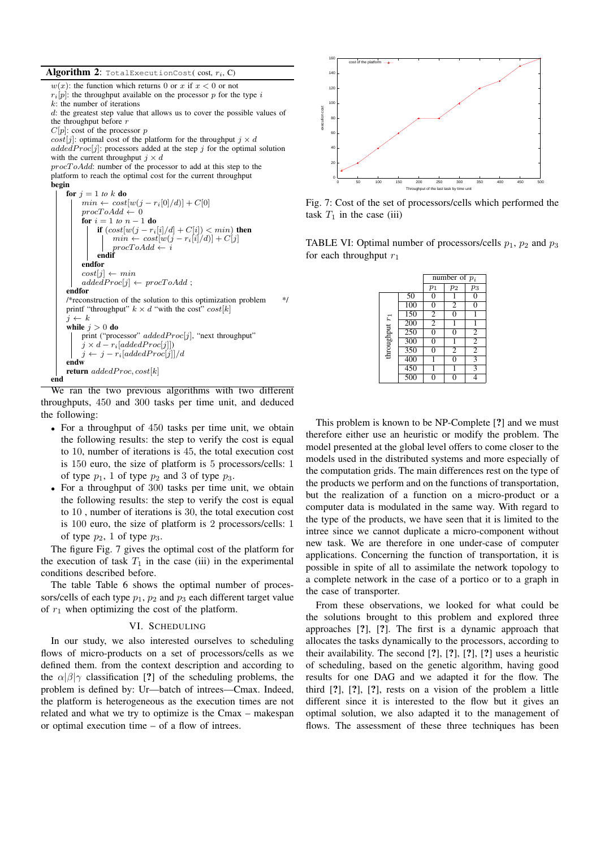

We ran the two previous algorithms with two different throughputs, 450 and 300 tasks per time unit, and deduced the following:

- For a throughput of 450 tasks per time unit, we obtain the following results: the step to verify the cost is equal to 10, number of iterations is 45, the total execution cost is 150 euro, the size of platform is 5 processors/cells: 1 of type  $p_1$ , 1 of type  $p_2$  and 3 of type  $p_3$ .
- For a throughput of 300 tasks per time unit, we obtain the following results: the step to verify the cost is equal to 10 , number of iterations is 30, the total execution cost is 100 euro, the size of platform is 2 processors/cells: 1 of type  $p_2$ , 1 of type  $p_3$ .

The figure Fig. 7 gives the optimal cost of the platform for the execution of task  $T_1$  in the case (iii) in the experimental conditions described before.

The table Table 6 shows the optimal number of processors/cells of each type  $p_1$ ,  $p_2$  and  $p_3$  each different target value of  $r_1$  when optimizing the cost of the platform.

### VI. SCHEDULING

In our study, we also interested ourselves to scheduling flows of micro-products on a set of processors/cells as we defined them. from the context description and according to the  $\alpha|\beta|\gamma$  classification [?] of the scheduling problems, the problem is defined by: Ur—batch of intrees—Cmax. Indeed, the platform is heterogeneous as the execution times are not related and what we try to optimize is the Cmax – makespan or optimal execution time – of a flow of intrees.



Fig. 7: Cost of the set of processors/cells which performed the task  $T_1$  in the case (iii)

TABLE VI: Optimal number of processors/cells  $p_1$ ,  $p_2$  and  $p_3$ for each throughput  $r_1$ 

|               |     | number of $p_i$ |                |                           |
|---------------|-----|-----------------|----------------|---------------------------|
|               |     |                 |                |                           |
|               |     | p <sub>1</sub>  | $p_2$          | $p_3$                     |
|               | 50  | $\overline{0}$  |                | $\overline{0}$            |
|               | 100 | $\overline{0}$  | 2              | 0                         |
|               | 150 | $\overline{2}$  | $\overline{0}$ |                           |
| throughput r1 | 200 | $\overline{2}$  |                |                           |
|               | 250 | $\overline{0}$  | $\overline{0}$ | $\overline{2}$            |
|               | 300 | 0               |                | $\overline{2}$            |
|               | 350 | 0               | $\overline{2}$ | $\overline{2}$            |
|               | 400 |                 | $\overline{0}$ | $\overline{\overline{3}}$ |
|               | 450 |                 |                | 3                         |
|               | 500 |                 | Λ              |                           |

This problem is known to be NP-Complete [?] and we must therefore either use an heuristic or modify the problem. The model presented at the global level offers to come closer to the models used in the distributed systems and more especially of the computation grids. The main differences rest on the type of the products we perform and on the functions of transportation, but the realization of a function on a micro-product or a computer data is modulated in the same way. With regard to the type of the products, we have seen that it is limited to the intree since we cannot duplicate a micro-component without new task. We are therefore in one under-case of computer applications. Concerning the function of transportation, it is possible in spite of all to assimilate the network topology to a complete network in the case of a portico or to a graph in the case of transporter.

From these observations, we looked for what could be the solutions brought to this problem and explored three approaches [?], [?]. The first is a dynamic approach that allocates the tasks dynamically to the processors, according to their availability. The second [?], [?], [?], [?] uses a heuristic of scheduling, based on the genetic algorithm, having good results for one DAG and we adapted it for the flow. The third [?], [?], [?], rests on a vision of the problem a little different since it is interested to the flow but it gives an optimal solution, we also adapted it to the management of flows. The assessment of these three techniques has been